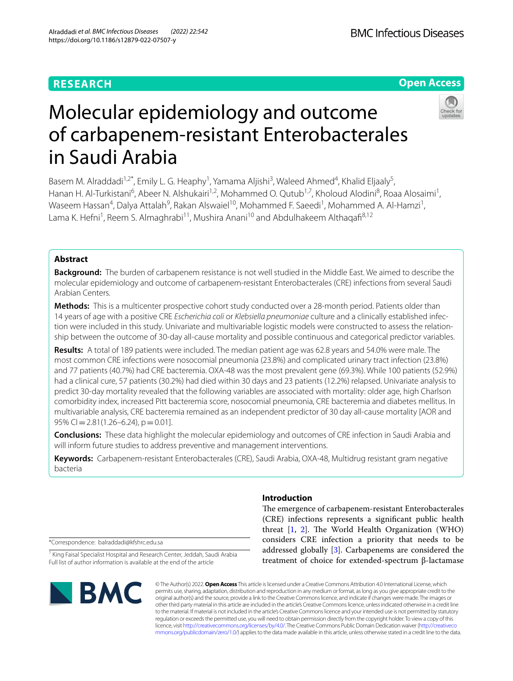# **RESEARCH**

# **Open Access**



# Molecular epidemiology and outcome of carbapenem-resistant Enterobacterales in Saudi Arabia

Basem M. Alraddadi<sup>1,2\*</sup>, Emily L. G. Heaphy<sup>1</sup>, Yamama Aljishi<sup>3</sup>, Waleed Ahmed<sup>4</sup>, Khalid Eljaaly<sup>5</sup>, Hanan H. Al-Turkistani<sup>6</sup>, Abeer N. Alshukairi<sup>1,2</sup>, Mohammed O. Qutub<sup>1,7</sup>, Kholoud Alodini<sup>8</sup>, Roaa Alosaimi<sup>1</sup>, Waseem Hassan<sup>4</sup>, Dalya Attalah<sup>9</sup>, Rakan Alswaiel<sup>10</sup>, Mohammed F. Saeedi<sup>1</sup>, Mohammed A. Al-Hamzi<sup>1</sup>, Lama K. Hefni<sup>1</sup>, Reem S. Almaghrabi<sup>11</sup>, Mushira Anani<sup>10</sup> and Abdulhakeem Althaqafi<sup>8,12</sup>

# **Abstract**

**Background:** The burden of carbapenem resistance is not well studied in the Middle East. We aimed to describe the molecular epidemiology and outcome of carbapenem-resistant Enterobacterales (CRE) infections from several Saudi Arabian Centers.

**Methods:** This is a multicenter prospective cohort study conducted over a 28-month period. Patients older than 14 years of age with a positive CRE *Escherichia coli* or *Klebsiella pneumoniae* culture and a clinically established infec‑ tion were included in this study. Univariate and multivariable logistic models were constructed to assess the relationship between the outcome of 30-day all-cause mortality and possible continuous and categorical predictor variables.

**Results:** A total of 189 patients were included. The median patient age was 62.8 years and 54.0% were male. The most common CRE infections were nosocomial pneumonia (23.8%) and complicated urinary tract infection (23.8%) and 77 patients (40.7%) had CRE bacteremia. OXA-48 was the most prevalent gene (69.3%). While 100 patients (52.9%) had a clinical cure, 57 patients (30.2%) had died within 30 days and 23 patients (12.2%) relapsed. Univariate analysis to predict 30-day mortality revealed that the following variables are associated with mortality: older age, high Charlson comorbidity index, increased Pitt bacteremia score, nosocomial pneumonia, CRE bacteremia and diabetes mellitus. In multivariable analysis, CRE bacteremia remained as an independent predictor of 30 day all-cause mortality [AOR and  $95\%$  CI = 2.81(1.26–6.24), p = 0.01].

**Conclusions:** These data highlight the molecular epidemiology and outcomes of CRE infection in Saudi Arabia and will inform future studies to address preventive and management interventions.

**Keywords:** Carbapenem-resistant Enterobacterales (CRE), Saudi Arabia, OXA-48, Multidrug resistant gram negative bacteria

**Introduction**

The emergence of carbapenem-resistant Enterobacterales (CRE) infections represents a signifcant public health threat  $[1, 2]$  $[1, 2]$  $[1, 2]$  $[1, 2]$ . The World Health Organization (WHO) considers CRE infection a priority that needs to be addressed globally [\[3](#page-6-2)]. Carbapenems are considered the treatment of choice for extended-spectrum β-lactamase

\*Correspondence: balraddadi@kfshrc.edu.sa

<sup>1</sup> King Faisal Specialist Hospital and Research Center, Jeddah, Saudi Arabia Full list of author information is available at the end of the article



© The Author(s) 2022. **Open Access** This article is licensed under a Creative Commons Attribution 4.0 International License, which permits use, sharing, adaptation, distribution and reproduction in any medium or format, as long as you give appropriate credit to the original author(s) and the source, provide a link to the Creative Commons licence, and indicate if changes were made. The images or other third party material in this article are included in the article's Creative Commons licence, unless indicated otherwise in a credit line to the material. If material is not included in the article's Creative Commons licence and your intended use is not permitted by statutory regulation or exceeds the permitted use, you will need to obtain permission directly from the copyright holder. To view a copy of this licence, visit [http://creativecommons.org/licenses/by/4.0/.](http://creativecommons.org/licenses/by/4.0/) The Creative Commons Public Domain Dedication waiver ([http://creativeco](http://creativecommons.org/publicdomain/zero/1.0/) [mmons.org/publicdomain/zero/1.0/](http://creativecommons.org/publicdomain/zero/1.0/)) applies to the data made available in this article, unless otherwise stated in a credit line to the data.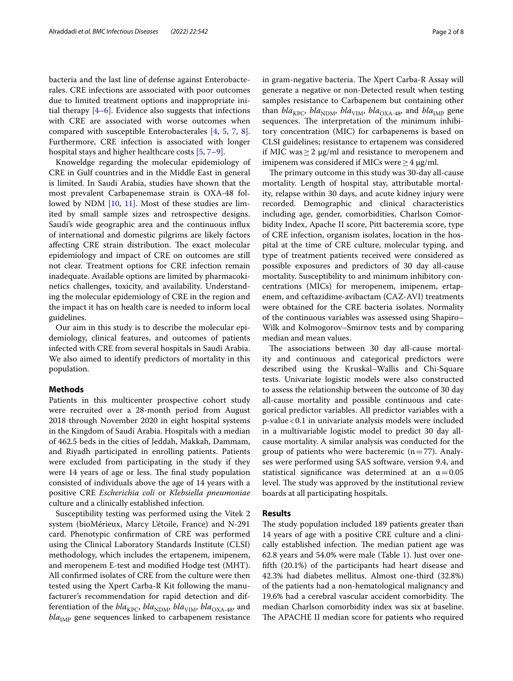bacteria and the last line of defense against Enterobacterales. CRE infections are associated with poor outcomes due to limited treatment options and inappropriate initial therapy  $[4-6]$  $[4-6]$ . Evidence also suggests that infections with CRE are associated with worse outcomes when compared with susceptible Enterobacterales [[4](#page-6-3), [5](#page-6-5), [7](#page-6-6), [8](#page-6-7)]. Furthermore, CRE infection is associated with longer hospital stays and higher healthcare costs [[5,](#page-6-5) [7](#page-6-6)[–9](#page-6-8)].

Knoweldge regarding the molecular epidemiology of CRE in Gulf countries and in the Middle East in general is limited. In Saudi Arabia, studies have shown that the most prevalent Carbapenemase strain is OXA-48 fol-lowed by NDM [[10,](#page-6-9) [11](#page-6-10)]. Most of these studies are limited by small sample sizes and retrospective designs. Saudi's wide geographic area and the continuous infux of international and domestic pilgrims are likely factors affecting CRE strain distribution. The exact molecular epidemiology and impact of CRE on outcomes are still not clear. Treatment options for CRE infection remain inadequate. Available options are limited by pharmacokinetics challenges, toxicity, and availability. Understanding the molecular epidemiology of CRE in the region and the impact it has on health care is needed to inform local guidelines.

Our aim in this study is to describe the molecular epidemiology, clinical features, and outcomes of patients infected with CRE from several hospitals in Saudi Arabia. We also aimed to identify predictors of mortality in this population.

## **Methods**

Patients in this multicenter prospective cohort study were recruited over a 28-month period from August 2018 through November 2020 in eight hospital systems in the Kingdom of Saudi Arabia. Hospitals with a median of 462.5 beds in the cities of Jeddah, Makkah, Dammam, and Riyadh participated in enrolling patients. Patients were excluded from participating in the study if they were 14 years of age or less. The final study population consisted of individuals above the age of 14 years with a positive CRE *Escherichia coli* or *Klebsiella pneumoniae* culture and a clinically established infection.

Susceptibility testing was performed using the Vitek 2 system (bioMérieux, Marcy L'étoile, France) and N-291 card. Phenotypic confrmation of CRE was performed using the Clinical Laboratory Standards Institute (CLSI) methodology, which includes the ertapenem, imipenem, and meropenem E-test and modifed Hodge test (MHT). All confrmed isolates of CRE from the culture were then tested using the Xpert Carba-R Kit following the manufacturer's recommendation for rapid detection and differentiation of the  $bla_{\text{KPC}}$ ,  $bla_{\text{NDM}}$ ,  $bla_{\text{VIM}}$ ,  $bla_{\text{OXA-48}}$ , and  $bla<sub>IMP</sub>$  gene sequences linked to carbapenem resistance in gram-negative bacteria. The Xpert Carba-R Assay will generate a negative or non-Detected result when testing samples resistance to Carbapenem but containing other than  $bla_{\text{KPC}}$ ,  $bla_{\text{NDM}}$ ,  $bla_{\text{VIM}}$ ,  $bla_{\text{OXA-48}}$ , and  $bla_{\text{IMP}}$  gene sequences. The interpretation of the minimum inhibitory concentration (MIC) for carbapenems is based on CLSI guidelines; resistance to ertapenem was considered if MIC was≥2 μg/ml and resistance to meropenem and imipenem was considered if MICs were ≥ 4 μg/ml.

The primary outcome in this study was 30-day all-cause mortality. Length of hospital stay, attributable mortality, relapse within 30 days, and acute kidney injury were recorded. Demographic and clinical characteristics including age, gender, comorbidities, Charlson Comorbidity Index, Apache II score, Pitt bacteremia score, type of CRE infection, organism isolates, location in the hospital at the time of CRE culture, molecular typing, and type of treatment patients received were considered as possible exposures and predictors of 30 day all-cause mortality. Susceptibility to and minimum inhibitory concentrations (MICs) for meropenem, imipenem, ertapenem, and ceftazidime-avibactam (CAZ-AVI) treatments were obtained for the CRE bacteria isolates. Normality of the continuous variables was assessed using Shapiro– Wilk and Kolmogorov–Smirnov tests and by comparing median and mean values.

The associations between 30 day all-cause mortality and continuous and categorical predictors were described using the Kruskal–Wallis and Chi-Square tests. Univariate logistic models were also constructed to assess the relationship between the outcome of 30 day all-cause mortality and possible continuous and categorical predictor variables. All predictor variables with a p-value<0.1 in univariate analysis models were included in a multivariable logistic model to predict 30 day allcause mortality. A similar analysis was conducted for the group of patients who were bacteremic  $(n=77)$ . Analyses were performed using SAS software, version 9.4, and statistical significance was determined at an  $\alpha$  = 0.05 level. The study was approved by the institutional review boards at all participating hospitals.

# **Results**

The study population included 189 patients greater than 14 years of age with a positive CRE culture and a clinically established infection. The median patient age was 62.8 years and 54.0% were male (Table [1](#page-2-0)). Just over oneffth (20.1%) of the participants had heart disease and 42.3% had diabetes mellitus. Almost one-third (32.8%) of the patients had a non-hematological malignancy and 19.6% had a cerebral vascular accident comorbidity. The median Charlson comorbidity index was six at baseline. The APACHE II median score for patients who required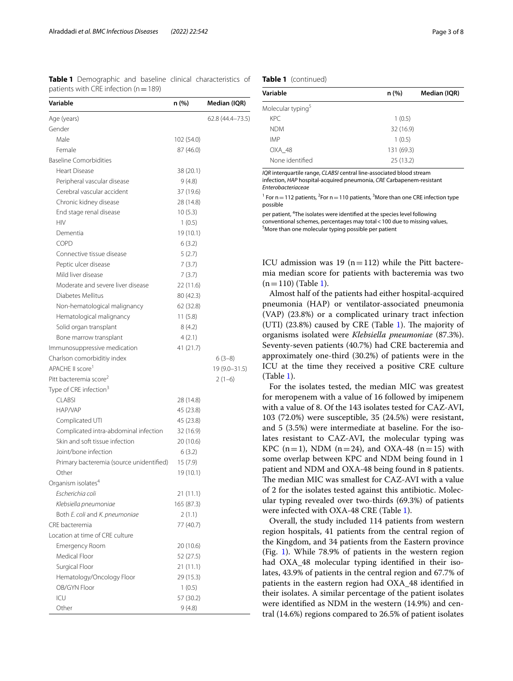<span id="page-2-0"></span>

|                                           |  | <b>Table 1</b> Demographic and baseline clinical characteristics of |  |
|-------------------------------------------|--|---------------------------------------------------------------------|--|
| patients with CRE infection ( $n = 189$ ) |  |                                                                     |  |

| Variable                                  | n (%)      | Median (IQR)     |
|-------------------------------------------|------------|------------------|
| Age (years)                               |            | 62.8 (44.4–73.5) |
| Gender                                    |            |                  |
| Male                                      | 102 (54.0) |                  |
| Female                                    | 87 (46.0)  |                  |
| <b>Baseline Comorbidities</b>             |            |                  |
| Heart Disease                             | 38 (20.1)  |                  |
| Peripheral vascular disease               | 9(4.8)     |                  |
| Cerebral vascular accident                | 37 (19.6)  |                  |
| Chronic kidney disease                    | 28 (14.8)  |                  |
| End stage renal disease                   | 10(5.3)    |                  |
| <b>HIV</b>                                | 1(0.5)     |                  |
| Dementia                                  | 19 (10.1)  |                  |
| <b>COPD</b>                               | 6(3.2)     |                  |
| Connective tissue disease                 | 5(2.7)     |                  |
| Peptic ulcer disease                      | 7(3.7)     |                  |
| Mild liver disease                        | 7(3.7)     |                  |
| Moderate and severe liver disease         | 22 (11.6)  |                  |
| Diabetes Mellitus                         | 80 (42.3)  |                  |
| Non-hematological malignancy              | 62 (32.8)  |                  |
| Hematological malignancy                  | 11(5.8)    |                  |
| Solid organ transplant                    | 8(4.2)     |                  |
| Bone marrow transplant                    | 4(2.1)     |                  |
| Immunosuppressive medication              | 41 (21.7)  |                  |
| Charlson comorbiditiy index               |            | $6(3-8)$         |
| APACHE II score <sup>1</sup>              |            | 19 (9.0-31.5)    |
| Pitt bacteremia score <sup>2</sup>        |            | $2(1-6)$         |
| Type of CRE infection <sup>3</sup>        |            |                  |
| <b>CLABSI</b>                             | 28 (14.8)  |                  |
| HAP/VAP                                   | 45 (23.8)  |                  |
| Complicated UTI                           | 45 (23.8)  |                  |
| Complicated intra-abdominal infection     | 32 (16.9)  |                  |
| Skin and soft tissue infection            | 20 (10.6)  |                  |
| Joint/bone infection                      | 6(3.2)     |                  |
| Primary bacteremia (source unidentified)  | 15(7.9)    |                  |
| Other                                     | 19 (10.1)  |                  |
| Organism isolates $^4$                    |            |                  |
| Escherichia coli                          | 21 (11.1)  |                  |
| Klebsiella pneumoniae                     | 165 (87.3) |                  |
| Both E. coli and K. pneumoniae            | 2(1.1)     |                  |
| CRE bacteremia                            | 77 (40.7)  |                  |
| Location at time of CRE culture           |            |                  |
| Emergency Room                            | 20 (10.6)  |                  |
| Medical Floor                             | 52 (27.5)  |                  |
| Surgical Floor                            | 21(11.1)   |                  |
|                                           |            |                  |
| Hematology/Oncology Floor<br>OB/GYN Floor | 29 (15.3)  |                  |
| ICU                                       | 1(0.5)     |                  |
|                                           | 57 (30.2)  |                  |
| Other                                     | 9(4.8)     |                  |

**Table 1** (continued)

| Variable                      | n(%)       | Median (IQR) |
|-------------------------------|------------|--------------|
| Molecular typing <sup>5</sup> |            |              |
| KPC.                          | 1(0.5)     |              |
| <b>NDM</b>                    | 32 (16.9)  |              |
| <b>IMP</b>                    | 1(0.5)     |              |
| OXA 48                        | 131 (69.3) |              |
| None identified               | 25(13.2)   |              |

*IQR* interquartile range, *CLABSI* central line-associated blood stream infection, *HAP* hospital-acquired pneumonia, *CRE* Carbapenem-resistant *Enterobacteriaceae*

<sup>1</sup> For  $n = 112$  patients, <sup>2</sup> For  $n = 110$  patients, <sup>3</sup> More than one CRE infection type possible

per patient, <sup>4</sup>The isolates were identified at the species level following conventional schemes, percentages may total < 100 due to missing values, <sup>5</sup>More than one molecular typing possible per patient

ICU admission was 19 ( $n=112$ ) while the Pitt bacteremia median score for patients with bacteremia was two  $(n=110)$  (Table [1\)](#page-2-0).

Almost half of the patients had either hospital-acquired pneumonia (HAP) or ventilator-associated pneumonia (VAP) (23.8%) or a complicated urinary tract infection (UTI)  $(23.8%)$  caused by CRE (Table [1](#page-2-0)). The majority of organisms isolated were *Klebsiella pneumoniae* (87.3%). Seventy-seven patients (40.7%) had CRE bacteremia and approximately one-third (30.2%) of patients were in the ICU at the time they received a positive CRE culture (Table [1\)](#page-2-0).

For the isolates tested, the median MIC was greatest for meropenem with a value of 16 followed by imipenem with a value of 8. Of the 143 isolates tested for CAZ-AVI, 103 (72.0%) were susceptible, 35 (24.5%) were resistant, and 5 (3.5%) were intermediate at baseline. For the isolates resistant to CAZ-AVI, the molecular typing was KPC (n=1), NDM (n=24), and OXA-48 (n=15) with some overlap between KPC and NDM being found in 1 patient and NDM and OXA-48 being found in 8 patients. The median MIC was smallest for CAZ-AVI with a value of 2 for the isolates tested against this antibiotic. Molecular typing revealed over two-thirds (69.3%) of patients were infected with OXA-48 CRE (Table [1](#page-2-0)).

Overall, the study included 114 patients from western region hospitals, 41 patients from the central region of the Kingdom, and 34 patients from the Eastern province (Fig. [1\)](#page-3-0). While 78.9% of patients in the western region had OXA\_48 molecular typing identifed in their isolates, 43.9% of patients in the central region and 67.7% of patients in the eastern region had OXA\_48 identifed in their isolates. A similar percentage of the patient isolates were identifed as NDM in the western (14.9%) and central (14.6%) regions compared to 26.5% of patient isolates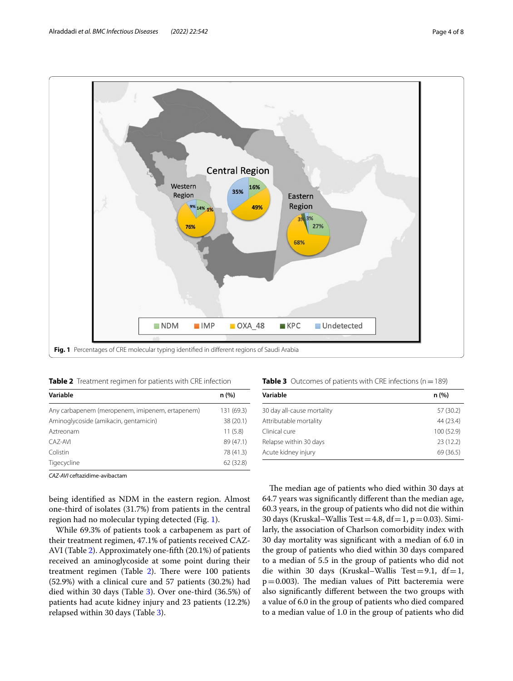



<span id="page-3-1"></span><span id="page-3-0"></span>

| Variable                                        | n(%)       |
|-------------------------------------------------|------------|
| Any carbapenem (meropenem, imipenem, ertapenem) | 131 (69.3) |
| Aminoglycoside (amikacin, gentamicin)           | 38 (20.1)  |
| Aztreonam                                       | 11(5.8)    |
| CAZ-AVI                                         | 89 (47.1)  |
| Colistin                                        | 78 (41.3)  |
| Tigecycline                                     | 62 (32.8)  |

*CAZ-AVI* ceftazidime-avibactam

being identifed as NDM in the eastern region. Almost one-third of isolates (31.7%) from patients in the central region had no molecular typing detected (Fig. [1\)](#page-3-0).

While 69.3% of patients took a carbapenem as part of their treatment regimen, 47.1% of patients received CAZ-AVI (Table [2\)](#page-3-1). Approximately one-ffth (20.1%) of patients received an aminoglycoside at some point during their treatment regimen (Table  $2$ ). There were 100 patients (52.9%) with a clinical cure and 57 patients (30.2%) had died within 30 days (Table [3\)](#page-3-2). Over one-third (36.5%) of patients had acute kidney injury and 23 patients (12.2%) relapsed within 30 days (Table [3](#page-3-2)).

<span id="page-3-2"></span>

|  | Table 3 Outcomes of patients with CRE infections ( $n = 189$ ) |  |  |  |  |  |
|--|----------------------------------------------------------------|--|--|--|--|--|
|--|----------------------------------------------------------------|--|--|--|--|--|

| Variable                   | n (%)      |
|----------------------------|------------|
| 30 day all-cause mortality | 57 (30.2)  |
| Attributable mortality     | 44 (23.4)  |
| Clinical cure              | 100 (52.9) |
| Relapse within 30 days     | 23(12.2)   |
| Acute kidney injury        | 69(36.5)   |

The median age of patients who died within 30 days at 64.7 years was signifcantly diferent than the median age, 60.3 years, in the group of patients who did not die within 30 days (Kruskal–Wallis Test = 4.8, df = 1, p = 0.03). Similarly, the association of Charlson comorbidity index with 30 day mortality was signifcant with a median of 6.0 in the group of patients who died within 30 days compared to a median of 5.5 in the group of patients who did not die within 30 days (Kruskal–Wallis Test=9.1, df=1,  $p=0.003$ ). The median values of Pitt bacteremia were also signifcantly diferent between the two groups with a value of 6.0 in the group of patients who died compared to a median value of 1.0 in the group of patients who did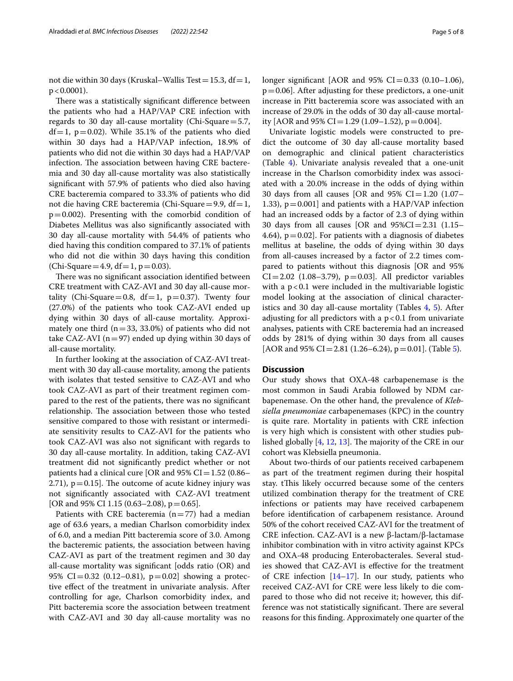not die within 30 days (Kruskal–Wallis Test = 15.3, df = 1,  $p < 0.0001$ ).

There was a statistically significant difference between the patients who had a HAP/VAP CRE infection with regards to 30 day all-cause mortality (Chi-Square=5.7,  $df=1$ ,  $p=0.02$ ). While 35.1% of the patients who died within 30 days had a HAP/VAP infection, 18.9% of patients who did not die within 30 days had a HAP/VAP infection. The association between having CRE bacteremia and 30 day all-cause mortality was also statistically signifcant with 57.9% of patients who died also having CRE bacteremia compared to 33.3% of patients who did not die having CRE bacteremia (Chi-Square=9.9, df=1,  $p=0.002$ ). Presenting with the comorbid condition of Diabetes Mellitus was also signifcantly associated with 30 day all-cause mortality with 54.4% of patients who died having this condition compared to 37.1% of patients who did not die within 30 days having this condition (Chi-Square = 4.9, df = 1,  $p = 0.03$ ).

There was no significant association identified between CRE treatment with CAZ-AVI and 30 day all-cause mortality (Chi-Square=0.8,  $df=1$ , p=0.37). Twenty four (27.0%) of the patients who took CAZ-AVI ended up dying within 30 days of all-cause mortality. Approximately one third  $(n=33, 33.0%)$  of patients who did not take CAZ-AVI ( $n=97$ ) ended up dying within 30 days of all-cause mortality.

In further looking at the association of CAZ-AVI treatment with 30 day all-cause mortality, among the patients with isolates that tested sensitive to CAZ-AVI and who took CAZ-AVI as part of their treatment regimen compared to the rest of the patients, there was no signifcant relationship. The association between those who tested sensitive compared to those with resistant or intermediate sensitivity results to CAZ-AVI for the patients who took CAZ-AVI was also not signifcant with regards to 30 day all-cause mortality. In addition, taking CAZ-AVI treatment did not signifcantly predict whether or not patients had a clinical cure [OR and  $95\%$  CI = 1.52 (0.86– 2.71),  $p=0.15$ ]. The outcome of acute kidney injury was not signifcantly associated with CAZ-AVI treatment [OR and 95% CI 1.15 (0.63–2.08),  $p = 0.65$ ].

Patients with CRE bacteremia  $(n=77)$  had a median age of 63.6 years, a median Charlson comorbidity index of 6.0, and a median Pitt bacteremia score of 3.0. Among the bacteremic patients, the association between having CAZ-AVI as part of the treatment regimen and 30 day all-cause mortality was signifcant [odds ratio (OR) and 95% CI=0.32 (0.12–0.81),  $p=0.02$ ] showing a protective efect of the treatment in univariate analysis. After controlling for age, Charlson comorbidity index, and Pitt bacteremia score the association between treatment with CAZ-AVI and 30 day all-cause mortality was no longer significant [AOR and  $95\%$  CI=0.33 (0.10–1.06),  $p=0.06$ ]. After adjusting for these predictors, a one-unit increase in Pitt bacteremia score was associated with an increase of 29.0% in the odds of 30 day all-cause mortality [AOR and 95% CI = 1.29 (1.09–1.52),  $p = 0.004$ ].

Univariate logistic models were constructed to predict the outcome of 30 day all-cause mortality based on demographic and clinical patient characteristics (Table [4\)](#page-5-0). Univariate analysis revealed that a one-unit increase in the Charlson comorbidity index was associated with a 20.0% increase in the odds of dying within 30 days from all causes [OR and  $95\%$  CI=1.20 (1.07– 1.33),  $p = 0.001$ ] and patients with a HAP/VAP infection had an increased odds by a factor of 2.3 of dying within 30 days from all causes [OR and 95%CI=2.31 (1.15– 4.64),  $p = 0.02$ . For patients with a diagnosis of diabetes mellitus at baseline, the odds of dying within 30 days from all-causes increased by a factor of 2.2 times compared to patients without this diagnosis [OR and 95%  $CI = 2.02$  (1.08–3.79),  $p = 0.03$ ]. All predictor variables with a  $p < 0.1$  were included in the multivariable logistic model looking at the association of clinical character-istics and 30 day all-cause mortality (Tables [4](#page-5-0), [5](#page-5-1)). After adjusting for all predictors with a  $p < 0.1$  from univariate analyses, patients with CRE bacteremia had an increased odds by 281% of dying within 30 days from all causes [AOR and 95% CI = 2.81 (1.26–6.24),  $p = 0.01$ ]. (Table [5\)](#page-5-1).

## **Discussion**

Our study shows that OXA-48 carbapenemase is the most common in Saudi Arabia followed by NDM carbapenemase. On the other hand, the prevalence of *Klebsiella pneumoniae* carbapenemases (KPC) in the country is quite rare. Mortality in patients with CRE infection is very high which is consistent with other studies published globally  $[4, 12, 13]$  $[4, 12, 13]$  $[4, 12, 13]$  $[4, 12, 13]$  $[4, 12, 13]$ . The majority of the CRE in our cohort was Klebsiella pneumonia.

About two-thirds of our patients received carbapenem as part of the treatment regimen during their hospital stay. tThis likely occurred because some of the centers utilized combination therapy for the treatment of CRE infections or patients may have received carbapenem before identifcation of carbapenem resistance. Around 50% of the cohort received CAZ-AVI for the treatment of CRE infection. CAZ-AVI is a new β-lactam/β-lactamase inhibitor combination with in vitro activity against KPCs and OXA-48 producing Enterobacterales. Several studies showed that CAZ-AVI is efective for the treatment of CRE infection [[14–](#page-6-13)[17\]](#page-6-14). In our study, patients who received CAZ-AVI for CRE were less likely to die compared to those who did not receive it; however, this difference was not statistically significant. There are several reasons for this fnding. Approximately one quarter of the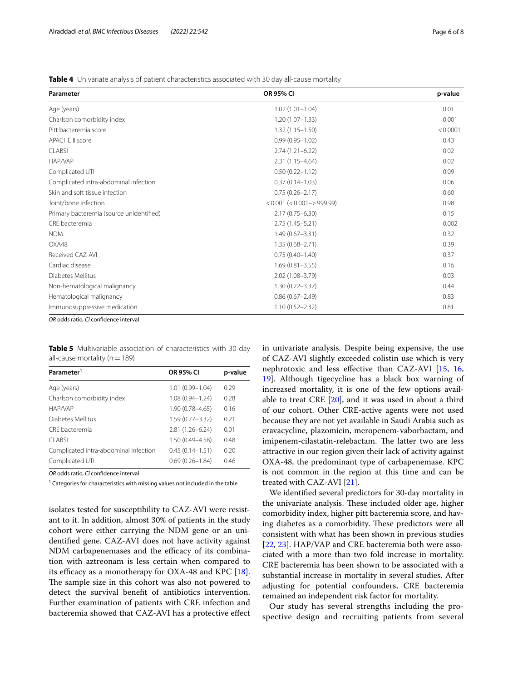<span id="page-5-0"></span>**Table 4** Univariate analysis of patient characteristics associated with 30 day all-cause mortality

| Parameter                                | <b>OR 95% CI</b>               | p-value  |
|------------------------------------------|--------------------------------|----------|
| Age (years)                              | $1.02(1.01 - 1.04)$            | 0.01     |
| Charlson comorbidity index               | $1.20(1.07 - 1.33)$            | 0.001    |
| Pitt bacteremia score                    | $1.32(1.15 - 1.50)$            | < 0.0001 |
| APACHE II score                          | $0.99(0.95 - 1.02)$            | 0.43     |
| <b>CLABSI</b>                            | $2.74(1.21 - 6.22)$            | 0.02     |
| HAP/VAP                                  | $2.31(1.15 - 4.64)$            | 0.02     |
| Complicated UTI                          | $0.50(0.22 - 1.12)$            | 0.09     |
| Complicated intra-abdominal infection    | $0.37(0.14 - 1.03)$            | 0.06     |
| Skin and soft tissue infection           | $0.75(0.26 - 2.17)$            | 0.60     |
| Joint/bone infection                     | $< 0.001 (< 0.001 - > 999.99)$ | 0.98     |
| Primary bacteremia (source unidentified) | $2.17(0.75 - 6.30)$            | 0.15     |
| CRE bacteremia                           | $2.75(1.45 - 5.21)$            | 0.002    |
| <b>NDM</b>                               | $1.49(0.67 - 3.31)$            | 0.32     |
| OXA48                                    | $1.35(0.68 - 2.71)$            | 0.39     |
| Received CAZ-AVI                         | $0.75(0.40 - 1.40)$            | 0.37     |
| Cardiac disease                          | $1.69(0.81 - 3.55)$            | 0.16     |
| Diabetes Mellitus                        | $2.02(1.08 - 3.79)$            | 0.03     |
| Non-hematological malignancy             | $1.30(0.22 - 3.37)$            | 0.44     |
| Hematological malignancy                 | $0.86(0.67 - 2.49)$            | 0.83     |
| Immunosuppressive medication             | $1.10(0.52 - 2.32)$            | 0.81     |

*OR* odds ratio, *CI* confdence interval

<span id="page-5-1"></span>**Table 5** Multivariable association of characteristics with 30 day all-cause mortality ( $n=189$ )

| Parameter <sup>1</sup>                | <b>OR 95% CI</b>    | p-value |
|---------------------------------------|---------------------|---------|
| Age (years)                           | $1.01(0.99 - 1.04)$ | 0.29    |
| Charlson comorbidity index            | $1.08(0.94 - 1.24)$ | 0.28    |
| HAP/VAP                               | $1.90(0.78 - 4.65)$ | 0.16    |
| Diabetes Mellitus                     | $1.59(0.77 - 3.32)$ | 0.21    |
| CRF bacteremia                        | $2.81(1.26 - 6.24)$ | 0.01    |
| CLABSI                                | 1.50 (0.49-4.58)    | 0.48    |
| Complicated intra-abdominal infection | $0.45(0.14 - 1.51)$ | 0.20    |
| Complicated UTI                       | $0.69(0.26 - 1.84)$ | 0.46    |

*OR* odds ratio, *CI* confdence interval

 $1$  Categories for characteristics with missing values not included in the table

isolates tested for susceptibility to CAZ-AVI were resistant to it. In addition, almost 30% of patients in the study cohort were either carrying the NDM gene or an unidentifed gene. CAZ-AVI does not have activity against NDM carbapenemases and the efficacy of its combination with aztreonam is less certain when compared to its efficacy as a monotherapy for OXA-48 and KPC  $[18]$  $[18]$ . The sample size in this cohort was also not powered to detect the survival beneft of antibiotics intervention. Further examination of patients with CRE infection and bacteremia showed that CAZ-AVI has a protective efect in univariate analysis. Despite being expensive, the use of CAZ-AVI slightly exceeded colistin use which is very nephrotoxic and less efective than CAZ-AVI [[15](#page-6-15), [16](#page-6-16), [19\]](#page-7-1). Although tigecycline has a black box warning of increased mortality, it is one of the few options available to treat CRE [\[20](#page-7-2)], and it was used in about a third of our cohort. Other CRE-active agents were not used because they are not yet available in Saudi Arabia such as eravacycline, plazomicin, meropenem-vaborbactam, and imipenem-cilastatin-relebactam. The latter two are less attractive in our region given their lack of activity against OXA-48, the predominant type of carbapenemase. KPC is not common in the region at this time and can be treated with CAZ-AVI [\[21\]](#page-7-3).

We identifed several predictors for 30-day mortality in the univariate analysis. These included older age, higher comorbidity index, higher pitt bacteremia score, and having diabetes as a comorbidity. These predictors were all consistent with what has been shown in previous studies [[22,](#page-7-4) [23\]](#page-7-5). HAP/VAP and CRE bacteremia both were associated with a more than two fold increase in mortality. CRE bacteremia has been shown to be associated with a substantial increase in mortality in several studies. After adjusting for potential confounders, CRE bacteremia remained an independent risk factor for mortality.

Our study has several strengths including the prospective design and recruiting patients from several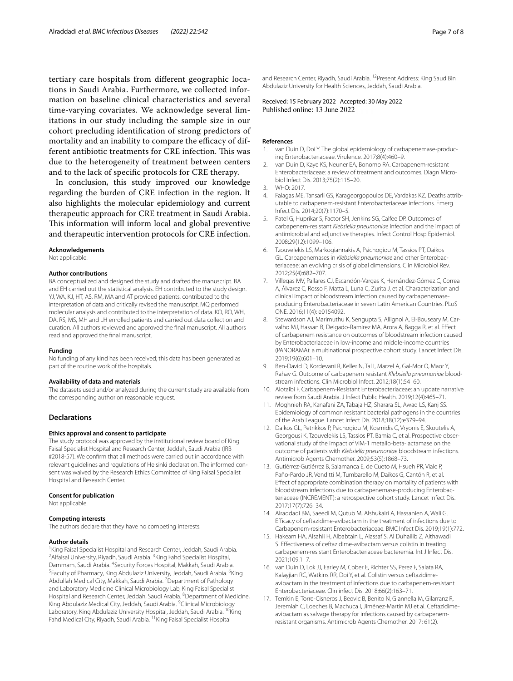tertiary care hospitals from diferent geographic locations in Saudi Arabia. Furthermore, we collected information on baseline clinical characteristics and several time-varying covariates. We acknowledge several limitations in our study including the sample size in our cohort precluding identifcation of strong predictors of mortality and an inability to compare the efficacy of different antibiotic treatments for CRE infection. This was due to the heterogeneity of treatment between centers and to the lack of specifc protocols for CRE therapy.

In conclusion, this study improved our knowledge regarding the burden of CRE infection in the region. It also highlights the molecular epidemiology and current therapeutic approach for CRE treatment in Saudi Arabia. This information will inform local and global preventive and therapeutic intervention protocols for CRE infection.

#### **Acknowledgements**

Not applicable.

#### **Author contributions**

BA conceptualized and designed the study and drafted the manuscript. BA and EH carried out the statistical analysis. EH contributed to the study design. YJ, WA, KJ, HT, AS, RM, MA and AT provided patients, contributed to the interpretation of data and critically revised the manuscript. MQ performed molecular analysis and contributed to the interpretation of data. KO, RO, WH, DA, RS, MS, MH and LH enrolled patients and carried out data collection and curation. All authors reviewed and approved the fnal manuscript. All authors read and approved the fnal manuscript.

#### **Funding**

No funding of any kind has been received; this data has been generated as part of the routine work of the hospitals.

#### **Availability of data and materials**

The datasets used and/or analyzed during the current study are available from the corresponding author on reasonable request.

## **Declarations**

#### **Ethics approval and consent to participate**

The study protocol was approved by the institutional review board of King Faisal Specialist Hospital and Research Center, Jeddah, Saudi Arabia (IRB #2018-57). We confrm that all methods were carried out in accordance with relevant guidelines and regulations of Helsinki declaration. The informed consent was waived by the Research Ethics Committee of King Faisal Specialist Hospital and Research Center.

#### **Consent for publication**

Not applicable.

#### **Competing interests**

The authors declare that they have no competing interests.

#### **Author details**

<sup>1</sup> King Faisal Specialist Hospital and Research Center, Jeddah, Saudi Arabia.<br><sup>2</sup> Alfaisal University, Rivadh, Saudi Arabia <sup>3</sup> King Eabd Specialist Hospital. Alfaisal University, Riyadh, Saudi Arabia. <sup>3</sup> King Fahd Specialist Hospital, Dammam, Saudi Arabia. <sup>4</sup>Security Forces Hospital, Makkah, Saudi Arabia.<br><sup>5</sup>Eaculty of Pharmacy, King Abdulaziz University, Jeddah, Saudi Arabia. <sup>6</sup>Ki Faculty of Pharmacy, King Abdulaziz University, Jeddah, Saudi Arabia. <sup>6</sup>King Abdullah Medical City, Makkah, Saudi Arabia. <sup>7</sup> Department of Pathology and Laboratory Medicine Clinical Microbiology Lab, King Faisal Specialist Hospital and Research Center, Jeddah, Saudi Arabia. <sup>8</sup>Department of Medicine, King Abdulaziz Medical City, Jeddah, Saudi Arabia. <sup>9</sup>Clinical Microbiology Laboratory, King Abdulaziz University Hospital, Jeddah, Saudi Arabia. <sup>10</sup>King Fahd Medical City, Riyadh, Saudi Arabia. 11King Faisal Specialist Hospital

and Research Center, Riyadh, Saudi Arabia. <sup>12</sup> Present Address: King Saud Bin Abdulaziz University for Health Sciences, Jeddah, Saudi Arabia.

Received: 15 February 2022 Accepted: 30 May 2022<br>Published online: 13 June 2022

## **References**

- <span id="page-6-0"></span>van Duin D, Doi Y. The global epidemiology of carbapenemase-producing Enterobacteriaceae. Virulence. 2017;8(4):460–9.
- <span id="page-6-1"></span>2. van Duin D, Kaye KS, Neuner EA, Bonomo RA. Carbapenem-resistant Enterobacteriaceae: a review of treatment and outcomes. Diagn Micro‑ biol Infect Dis. 2013;75(2):115–20.
- <span id="page-6-2"></span>3. WHO: 2017.
- <span id="page-6-3"></span>4. Falagas ME, Tansarli GS, Karageorgopoulos DE, Vardakas KZ. Deaths attributable to carbapenem-resistant Enterobacteriaceae infections. Emerg Infect Dis. 2014;20(7):1170–5.
- <span id="page-6-5"></span>5. Patel G, Huprikar S, Factor SH, Jenkins SG, Calfee DP. Outcomes of carbapenem-resistant *Klebsiella pneumoniae* infection and the impact of antimicrobial and adjunctive therapies. Infect Control Hosp Epidemiol. 2008;29(12):1099–106.
- <span id="page-6-4"></span>6. Tzouvelekis LS, Markogiannakis A, Psichogiou M, Tassios PT, Daikos GL. Carbapenemases in *Klebsiella pneumoniae* and other Enterobac‑ teriaceae: an evolving crisis of global dimensions. Clin Microbiol Rev. 2012;25(4):682–707.
- <span id="page-6-6"></span>7. Villegas MV, Pallares CJ, Escandón-Vargas K, Hernández-Gómez C, Correa A, Álvarez C, Rosso F, Matta L, Luna C, Zurita J, et al. Characterization and clinical impact of bloodstream infection caused by carbapenemaseproducing Enterobacteriaceae in seven Latin American Countries. PLoS ONE. 2016;11(4): e0154092.
- <span id="page-6-7"></span>8. Stewardson AJ, Marimuthu K, Sengupta S, Allignol A, El-Bouseary M, Carvalho MJ, Hassan B, Delgado-Ramirez MA, Arora A, Bagga R, et al. Efect of carbapenem resistance on outcomes of bloodstream infection caused by Enterobacteriaceae in low-income and middle-income countries (PANORAMA): a multinational prospective cohort study. Lancet Infect Dis. 2019;19(6):601–10.
- <span id="page-6-8"></span>9. Ben-David D, Kordevani R, Keller N, Tal I, Marzel A, Gal-Mor O, Maor Y, Rahav G. Outcome of carbapenem resistant *Klebsiella pneumoniae* bloodstream infections. Clin Microbiol Infect. 2012;18(1):54–60.
- <span id="page-6-9"></span>10. Alotaibi F. Carbapenem-Resistant Enterobacteriaceae: an update narrative review from Saudi Arabia. J Infect Public Health. 2019;12(4):465–71.
- <span id="page-6-10"></span>11. Moghnieh RA, Kanafani ZA, Tabaja HZ, Sharara SL, Awad LS, Kanj SS. Epidemiology of common resistant bacterial pathogens in the countries of the Arab League. Lancet Infect Dis. 2018;18(12):e379–94.
- <span id="page-6-11"></span>12. Daikos GL, Petrikkos P, Psichogiou M, Kosmidis C, Vryonis E, Skoutelis A, Georgousi K, Tzouvelekis LS, Tassios PT, Bamia C, et al. Prospective observational study of the impact of VIM-1 metallo-beta-lactamase on the outcome of patients with *Klebsiella pneumoniae* bloodstream infections. Antimicrob Agents Chemother. 2009;53(5):1868–73.
- <span id="page-6-12"></span>13. Gutiérrez-Gutiérrez B, Salamanca E, de Cueto M, Hsueh PR, Viale P, Paño-Pardo JR, Venditti M, Tumbarello M, Daikos G, Cantón R, et al. Efect of appropriate combination therapy on mortality of patients with bloodstream infections due to carbapenemase-producing Enterobacteriaceae (INCREMENT): a retrospective cohort study. Lancet Infect Dis. 2017;17(7):726–34.
- <span id="page-6-13"></span>14. Alraddadi BM, Saeedi M, Qutub M, Alshukairi A, Hassanien A, Wali G. Efficacy of ceftazidime-avibactam in the treatment of infections due to Carbapenem-resistant Enterobacteriaceae. BMC Infect Dis. 2019;19(1):772.
- <span id="page-6-15"></span>15. Hakeam HA, Alsahli H, Albabtain L, Alassaf S, Al Duhailib Z, Althawadi S. Efectiveness of ceftazidime-avibactam versus colistin in treating carbapenem-resistant Enterobacteriaceae bacteremia. Int J Infect Dis. 2021;109:1–7.
- <span id="page-6-16"></span>16. van Duin D, Lok JJ, Earley M, Cober E, Richter SS, Perez F, Salata RA, Kalayjian RC, Watkins RR, Doi Y, et al. Colistin versus ceftazidimeavibactam in the treatment of infections due to carbapenem-resistant Enterobacteriaceae. Clin infect Dis. 2018;66(2):163–71.
- <span id="page-6-14"></span>17. Temkin E, Torre-Cisneros J, Beovic B, Benito N, Giannella M, Gilarranz R, Jeremiah C, Loeches B, Machuca I, Jiménez-Martín MJ et al. Ceftazidimeavibactam as salvage therapy for infections caused by carbapenemresistant organisms. Antimicrob Agents Chemother. 2017; 61(2).